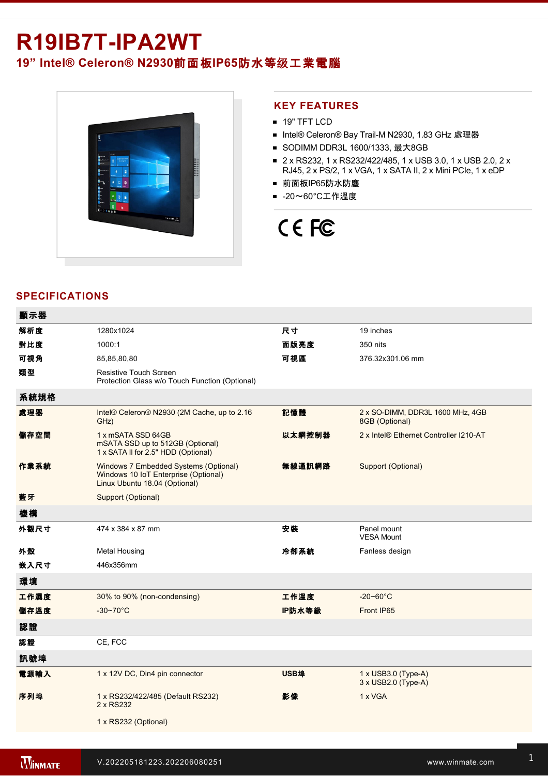# R19IB7T-IPA2WT **19" Intel® Celeron® N2930**前面板**IP65**防水等级工業電腦



### **KEY FEATURES**

- **19" TFT LCD**
- Intel® Celeron® Bay Trail-M N2930, 1.83 GHz 處理器
- SODIMM DDR3L 1600/1333, 最大8GB
- 2 x RS232, 1 x RS232/422/485, 1 x USB 3.0, 1 x USB 2.0, 2 x RJ45, 2 x PS/2, 1 x VGA, 1 x SATA II, 2 x Mini PCIe, 1 x eDP
- 前面板IP65防水防塵
- -20~60°C工作溫度

# CE FC

## **SPECIFICATIONS**

 $=$   $-$ 

| 觀示益  |                                                                                                                |        |                                                    |
|------|----------------------------------------------------------------------------------------------------------------|--------|----------------------------------------------------|
| 解析度  | 1280x1024                                                                                                      | 尺寸     | 19 inches                                          |
| 對比度  | 1000:1                                                                                                         | 面版亮度   | 350 nits                                           |
| 可視角  | 85,85,80,80                                                                                                    | 可視區    | 376.32x301.06 mm                                   |
| 類型   | <b>Resistive Touch Screen</b><br>Protection Glass w/o Touch Function (Optional)                                |        |                                                    |
| 系統規格 |                                                                                                                |        |                                                    |
| 處理器  | Intel® Celeron® N2930 (2M Cache, up to 2.16<br>GHz)                                                            | 記憶體    | 2 x SO-DIMM, DDR3L 1600 MHz, 4GB<br>8GB (Optional) |
| 儲存空間 | 1 x mSATA SSD 64GB<br>mSATA SSD up to 512GB (Optional)<br>1 x SATA II for 2.5" HDD (Optional)                  | 以太網控制器 | 2 x Intel® Ethernet Controller I210-AT             |
| 作業系統 | Windows 7 Embedded Systems (Optional)<br>Windows 10 IoT Enterprise (Optional)<br>Linux Ubuntu 18.04 (Optional) | 無線通訊網路 | Support (Optional)                                 |
| 藍牙   | Support (Optional)                                                                                             |        |                                                    |
| 機構   |                                                                                                                |        |                                                    |
| 外觀尺寸 | 474 x 384 x 87 mm                                                                                              | 安裝     | Panel mount<br><b>VESA Mount</b>                   |
| 外殼   | <b>Metal Housing</b>                                                                                           | 冷卻系統   | Fanless design                                     |
| 嵌入尺寸 | 446x356mm                                                                                                      |        |                                                    |
| 環境   |                                                                                                                |        |                                                    |
| 工作濕度 | 30% to 90% (non-condensing)                                                                                    | 工作溫度   | $-20 - 60^{\circ}$ C                               |
| 儲存溫度 | $-30-70$ °C                                                                                                    | IP防水等級 | Front IP65                                         |
| 認證   |                                                                                                                |        |                                                    |
| 認證   | CE, FCC                                                                                                        |        |                                                    |
| 訊號埠  |                                                                                                                |        |                                                    |
| 電源輸入 | 1 x 12V DC, Din4 pin connector                                                                                 | USB埠   | 1 x USB3.0 (Type-A)<br>3 x USB2.0 (Type-A)         |
| 序列埠  | 1 x RS232/422/485 (Default RS232)<br>2 x RS232                                                                 | 影像     | 1 x VGA                                            |
|      | 1 x RS232 (Optional)                                                                                           |        |                                                    |
|      |                                                                                                                |        |                                                    |

Line in

1 x Led indicator for storage and the storage storage in the storage storage storage storage storage storage s